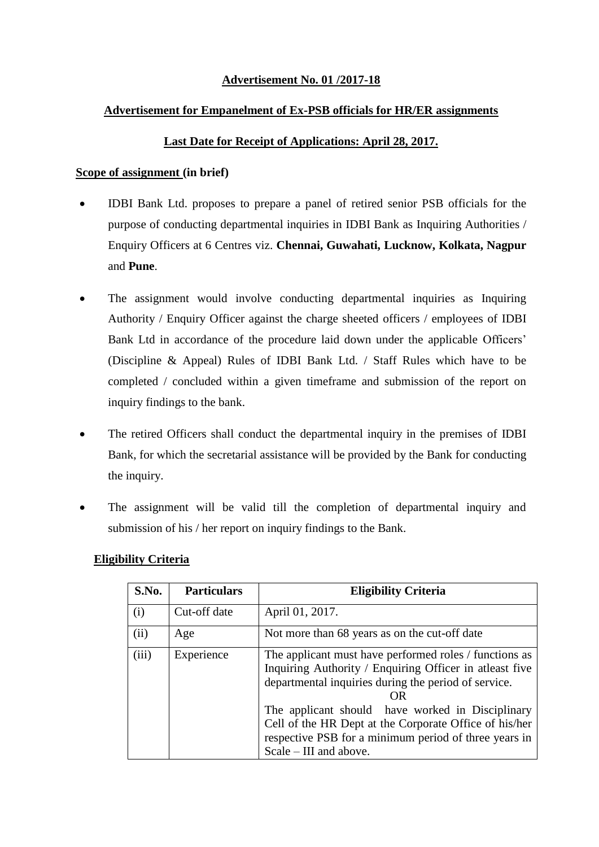### **Advertisement No. 01 /2017-18**

#### **Advertisement for Empanelment of Ex-PSB officials for HR/ER assignments**

#### **Last Date for Receipt of Applications: April 28, 2017.**

#### **Scope of assignment (in brief)**

- IDBI Bank Ltd. proposes to prepare a panel of retired senior PSB officials for the purpose of conducting departmental inquiries in IDBI Bank as Inquiring Authorities / Enquiry Officers at 6 Centres viz. **Chennai, Guwahati, Lucknow, Kolkata, Nagpur**  and **Pune**.
- The assignment would involve conducting departmental inquiries as Inquiring Authority / Enquiry Officer against the charge sheeted officers / employees of IDBI Bank Ltd in accordance of the procedure laid down under the applicable Officers' (Discipline & Appeal) Rules of IDBI Bank Ltd. / Staff Rules which have to be completed / concluded within a given timeframe and submission of the report on inquiry findings to the bank.
- The retired Officers shall conduct the departmental inquiry in the premises of IDBI Bank, for which the secretarial assistance will be provided by the Bank for conducting the inquiry.
- The assignment will be valid till the completion of departmental inquiry and submission of his / her report on inquiry findings to the Bank.

#### **Eligibility Criteria**

| S.No. | <b>Particulars</b> | <b>Eligibility Criteria</b>                                                                                                                                                                                                                                                                                                                                                      |  |
|-------|--------------------|----------------------------------------------------------------------------------------------------------------------------------------------------------------------------------------------------------------------------------------------------------------------------------------------------------------------------------------------------------------------------------|--|
| (i)   | Cut-off date       | April 01, 2017.                                                                                                                                                                                                                                                                                                                                                                  |  |
| (ii)  | Age                | Not more than 68 years as on the cut-off date                                                                                                                                                                                                                                                                                                                                    |  |
| (iii) | Experience         | The applicant must have performed roles / functions as<br>Inquiring Authority / Enquiring Officer in atleast five<br>departmental inquiries during the period of service.<br>ΩR<br>The applicant should have worked in Disciplinary<br>Cell of the HR Dept at the Corporate Office of his/her<br>respective PSB for a minimum period of three years in<br>Scale – III and above. |  |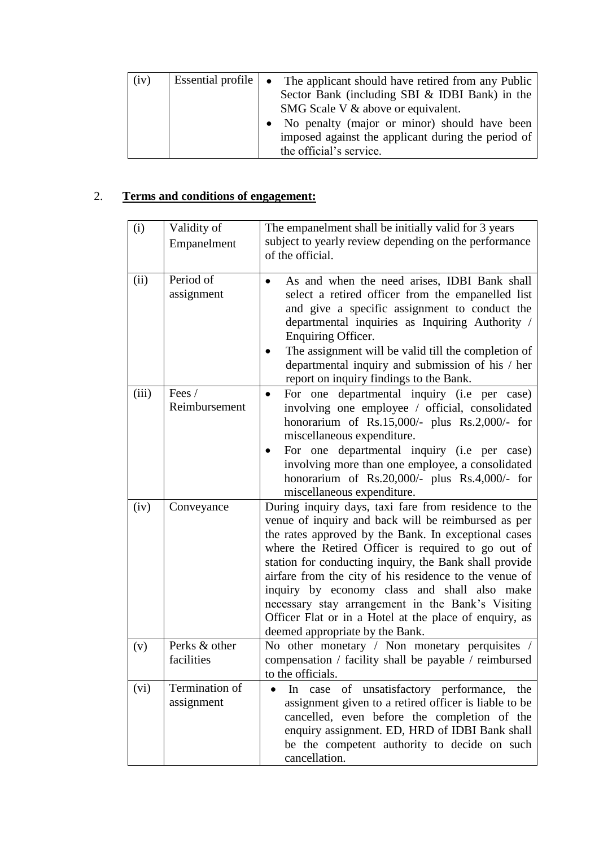| (iv) | Essential profile $\vert \bullet \vert$ | The applicant should have retired from any Public<br>Sector Bank (including SBI & IDBI Bank) in the |  |
|------|-----------------------------------------|-----------------------------------------------------------------------------------------------------|--|
|      |                                         | SMG Scale V & above or equivalent.                                                                  |  |
|      |                                         | • No penalty (major or minor) should have been                                                      |  |
|      |                                         | imposed against the applicant during the period of<br>the official's service.                       |  |

# 2. **Terms and conditions of engagement:**

| (i)   | Validity of<br>Empanelment   | The empanelment shall be initially valid for 3 years<br>subject to yearly review depending on the performance<br>of the official.                                                                                                                                                                                                                                                                                                                                                                                                               |
|-------|------------------------------|-------------------------------------------------------------------------------------------------------------------------------------------------------------------------------------------------------------------------------------------------------------------------------------------------------------------------------------------------------------------------------------------------------------------------------------------------------------------------------------------------------------------------------------------------|
| (ii)  | Period of<br>assignment      | As and when the need arises, IDBI Bank shall<br>select a retired officer from the empanelled list<br>and give a specific assignment to conduct the<br>departmental inquiries as Inquiring Authority /<br>Enquiring Officer.<br>The assignment will be valid till the completion of<br>departmental inquiry and submission of his / her<br>report on inquiry findings to the Bank.                                                                                                                                                               |
| (iii) | Fees /<br>Reimbursement      | For one departmental inquiry (i.e per case)<br>involving one employee / official, consolidated<br>honorarium of Rs.15,000/- plus Rs.2,000/- for<br>miscellaneous expenditure.<br>For one departmental inquiry (i.e per case)<br>involving more than one employee, a consolidated<br>honorarium of $Rs.20,000/$ - plus $Rs.4,000/$ - for<br>miscellaneous expenditure.                                                                                                                                                                           |
| (iv)  | Conveyance                   | During inquiry days, taxi fare from residence to the<br>venue of inquiry and back will be reimbursed as per<br>the rates approved by the Bank. In exceptional cases<br>where the Retired Officer is required to go out of<br>station for conducting inquiry, the Bank shall provide<br>airfare from the city of his residence to the venue of<br>inquiry by economy class and shall also make<br>necessary stay arrangement in the Bank's Visiting<br>Officer Flat or in a Hotel at the place of enquiry, as<br>deemed appropriate by the Bank. |
| (v)   | Perks & other<br>facilities  | No other monetary / Non monetary perquisites /<br>compensation / facility shall be payable / reimbursed<br>to the officials.                                                                                                                                                                                                                                                                                                                                                                                                                    |
| (vi)  | Termination of<br>assignment | case of unsatisfactory performance, the<br>$\ln$<br>assignment given to a retired officer is liable to be<br>cancelled, even before the completion of the<br>enquiry assignment. ED, HRD of IDBI Bank shall<br>be the competent authority to decide on such<br>cancellation.                                                                                                                                                                                                                                                                    |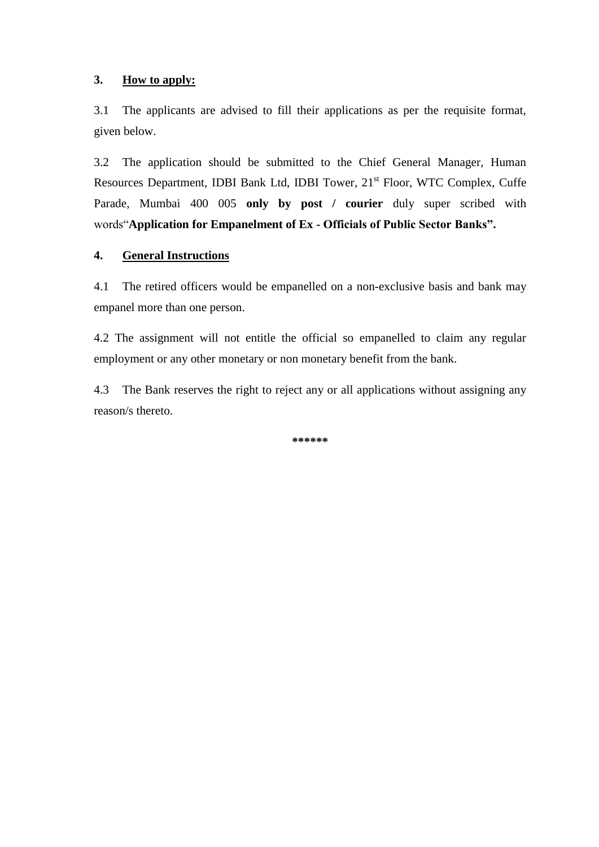#### **3. How to apply:**

3.1 The applicants are advised to fill their applications as per the requisite format, given below.

3.2 The application should be submitted to the Chief General Manager, Human Resources Department, IDBI Bank Ltd, IDBI Tower, 21<sup>st</sup> Floor, WTC Complex, Cuffe Parade, Mumbai 400 005 **only by post / courier** duly super scribed with words"**Application for Empanelment of Ex - Officials of Public Sector Banks".** 

### **4. General Instructions**

4.1 The retired officers would be empanelled on a non-exclusive basis and bank may empanel more than one person.

4.2 The assignment will not entitle the official so empanelled to claim any regular employment or any other monetary or non monetary benefit from the bank.

4.3 The Bank reserves the right to reject any or all applications without assigning any reason/s thereto.

**\*\*\*\*\*\***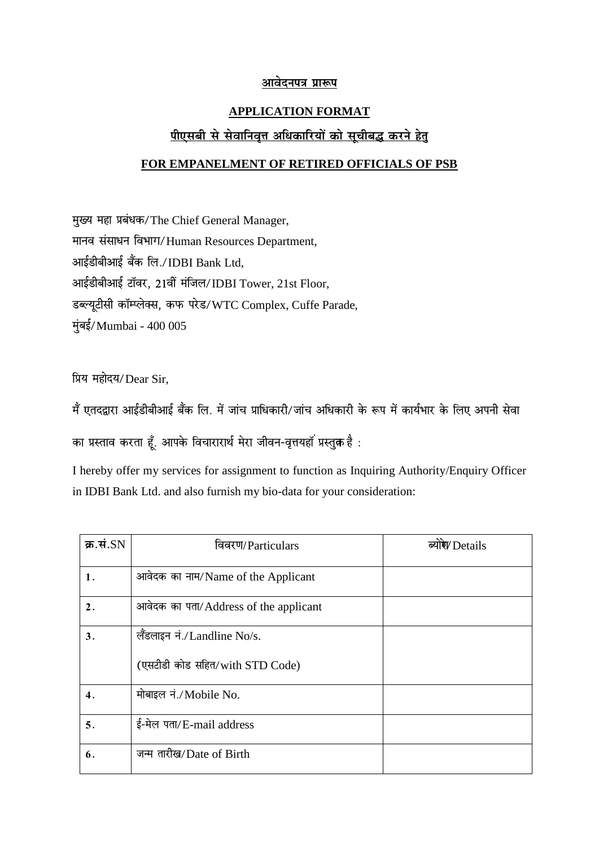# <u>आवेदनपत्र प्रारूप</u>

## **APPLICATION FORMAT**

# **पीएसबी से सेवाननवत्तृ अनिकानरयों को सचू ीबद्ध करने हेतु**

## **FOR EMPANELMENT OF RETIRED OFFICIALS OF PSB**

मुख्य महा प्रबंधक/The Chief General Manager, मानव संसाधन विभाग/Human Resources Department, आईडीबीआई बैंक लि./IDBI Bank Ltd, आईडीबीआई टॉवर, 21वीं मंजिल/IDBI Tower, 21st Floor, डब्ल्यूटीसी कॉम्प्लेक्स, कफ परेड/WTC Complex, Cuffe Parade, मुंबई/Mumbai - 400 005

प्रिय महोदय/Dear Sir.

मैं एतदद्वारा आईडीबीआई बैंक लि. में जांच प्राधिकारी/जांच अधिकारी के रूप में कार्यभार के लिए अपनी सेवा

का प्रस्ताव करता हूँ. आपके विचारारार्थ मेरा जीवन-वृत्तयहॉ प्रस्तुक है :-

I hereby offer my services for assignment to function as Inquiring Authority/Enquiry Officer in IDBI Bank Ltd. and also furnish my bio-data for your consideration:

| क्र.सं. $SN$   | विवरण/Particulars                     | ब्योरे Details |
|----------------|---------------------------------------|----------------|
| 1.             | आवेदक का नाम/Name of the Applicant    |                |
| $\mathbf{2}$ . | आवेदक का पता/Address of the applicant |                |
| 3.             | लैंडलाइन नं./Landline No/s.           |                |
|                | (एसटीडी कोड सहित/with STD Code)       |                |
| 4.             | मोबाइल नं./Mobile No.                 |                |
| 5.             | ई-मेल पता/E-mail address              |                |
| 6.             | जन्म तारीख/Date of Birth              |                |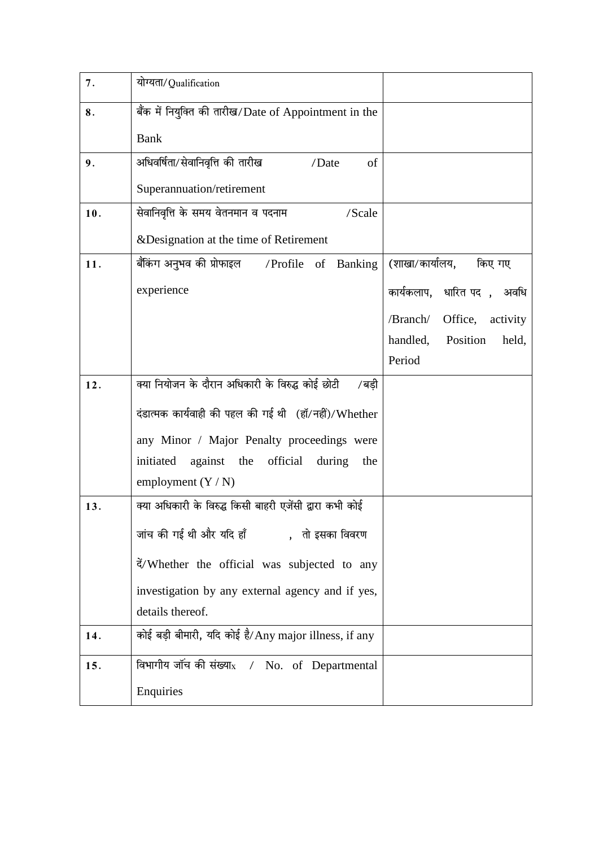| 7.  | योग्यता/Qualification                                     |                                 |
|-----|-----------------------------------------------------------|---------------------------------|
| 8.  | बैंक में नियुक्ति की तारीख/Date of Appointment in the     |                                 |
|     | <b>Bank</b>                                               |                                 |
| 9.  | अधिवर्षिता/सेवानिवृत्ति की तारीख<br>/Date<br>of           |                                 |
|     | Superannuation/retirement                                 |                                 |
| 10. | सेवानिवृत्ति के समय वेतनमान व पदनाम<br>/Scale             |                                 |
|     | & Designation at the time of Retirement                   |                                 |
| 11. | बैंकिंग अनुभव की प्रोफाइल       /Profile    of   Banking  | (शाखा/कार्यालय,<br>किए गए       |
|     | experience                                                | कार्यकलाप, धारित पद), अवधि      |
|     |                                                           | /Branch/<br>Office,<br>activity |
|     |                                                           | handled,<br>Position<br>held,   |
|     |                                                           | Period                          |
| 12. | क्या नियोजन के दौरान अधिकारी के विरुद्ध कोई छोटी<br>/बड़ी |                                 |
|     | दंडात्मक कार्यवाही की पहल की गई थी (हॉ/नहीं)/Whether      |                                 |
|     | any Minor / Major Penalty proceedings were                |                                 |
|     | against the official<br>initiated<br>during<br>the        |                                 |
|     | employment $(Y/N)$                                        |                                 |
| 13. | क्या अधिकारी के विरुद्ध किसी बाहरी एजेंसी द्वारा कभी कोई  |                                 |
|     | जांच की गई थी और यदि हाँ           ,   तो इसका विवरण      |                                 |
|     | दें/Whether the official was subjected to any             |                                 |
|     | investigation by any external agency and if yes,          |                                 |
|     | details thereof.                                          |                                 |
| 14. | कोई बड़ी बीमारी, यदि कोई है/Any major illness, if any     |                                 |
| 15. | विभागीय जॉंच की संख्या <sub>x</sub> / No. of Departmental |                                 |
|     | Enquiries                                                 |                                 |